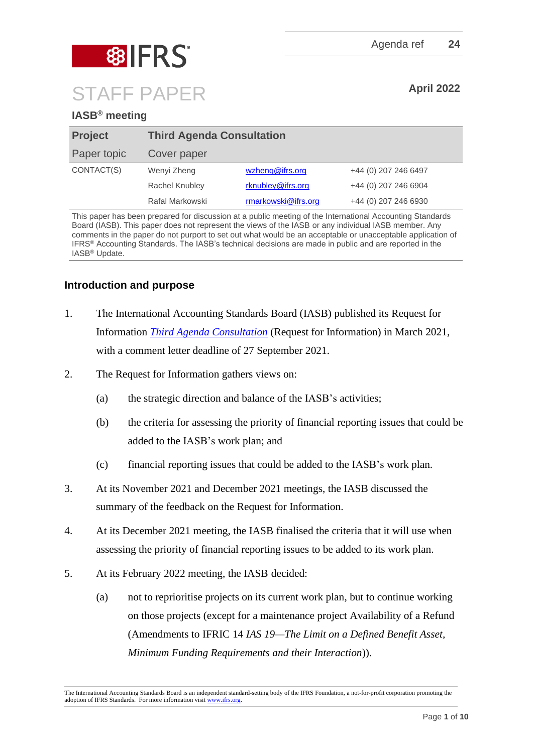

# **IASB® meeting**

| <b>Project</b> | <b>Third Agenda Consultation</b> |                     |                      |
|----------------|----------------------------------|---------------------|----------------------|
| Paper topic    | <b>Cover paper</b>               |                     |                      |
| CONTACT(S)     | Wenyi Zheng                      | wzheng@ifrs.org     | +44 (0) 207 246 6497 |
|                | Rachel Knubley                   | rknubley@ifrs.org   | +44 (0) 207 246 6904 |
|                | Rafal Markowski                  | rmarkowski@ifrs.org | +44 (0) 207 246 6930 |

This paper has been prepared for discussion at a public meeting of the International Accounting Standards Board (IASB). This paper does not represent the views of the IASB or any individual IASB member. Any comments in the paper do not purport to set out what would be an acceptable or unacceptable application of IFRS® Accounting Standards. The IASB's technical decisions are made in public and are reported in the IASB® Update.

# **Introduction and purpose**

- 1. The International Accounting Standards Board (IASB) published its Request for Information *[Third Agenda Consultation](https://www.ifrs.org/content/dam/ifrs/project/third-agenda-consultation/rfi-third-agenda-consultation-2021.pdf)* (Request for Information) in March 2021, with a comment letter deadline of 27 September 2021.
- 2. The Request for Information gathers views on:
	- (a) the strategic direction and balance of the IASB's activities;
	- (b) the criteria for assessing the priority of financial reporting issues that could be added to the IASB's work plan; and
	- (c) financial reporting issues that could be added to the IASB's work plan.
- 3. At its November 2021 and December 2021 meetings, the IASB discussed the summary of the feedback on the Request for Information.
- 4. At its December 2021 meeting, the IASB finalised the criteria that it will use when assessing the priority of financial reporting issues to be added to its work plan.
- 5. At its February 2022 meeting, the IASB decided:
	- (a) not to reprioritise projects on its current work plan, but to continue working on those projects (except for a maintenance project Availability of a Refund (Amendments to IFRIC 14 *IAS 19—The Limit on a Defined Benefit Asset, Minimum Funding Requirements and their Interaction*)).

The International Accounting Standards Board is an independent standard-setting body of the IFRS Foundation, a not-for-profit corporation promoting the adoption of IFRS Standards. For more information visi[t www.ifrs.org.](http://www.ifrs.org/)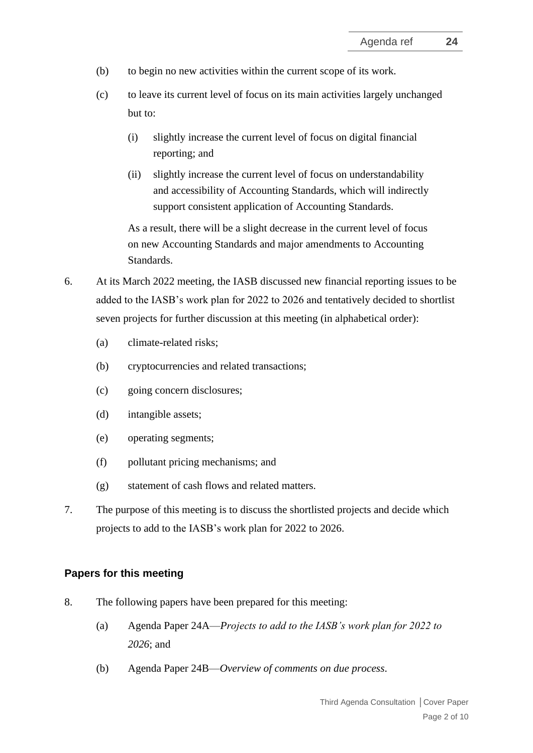- (b) to begin no new activities within the current scope of its work.
- (c) to leave its current level of focus on its main activities largely unchanged but to:
	- (i) slightly increase the current level of focus on digital financial reporting; and
	- (ii) slightly increase the current level of focus on understandability and accessibility of Accounting Standards, which will indirectly support consistent application of Accounting Standards.

As a result, there will be a slight decrease in the current level of focus on new Accounting Standards and major amendments to Accounting Standards.

- 6. At its March 2022 meeting, the IASB discussed new financial reporting issues to be added to the IASB's work plan for 2022 to 2026 and tentatively decided to shortlist seven projects for further discussion at this meeting (in alphabetical order):
	- (a) climate-related risks;
	- (b) cryptocurrencies and related transactions;
	- (c) going concern disclosures;
	- (d) intangible assets;
	- (e) operating segments;
	- (f) pollutant pricing mechanisms; and
	- (g) statement of cash flows and related matters.
- 7. The purpose of this meeting is to discuss the shortlisted projects and decide which projects to add to the IASB's work plan for 2022 to 2026.

# **Papers for this meeting**

- 8. The following papers have been prepared for this meeting:
	- (a) Agenda Paper 24A—*Projects to add to the IASB's work plan for 2022 to 2026*; and
	- (b) Agenda Paper 24B—*Overview of comments on due process*.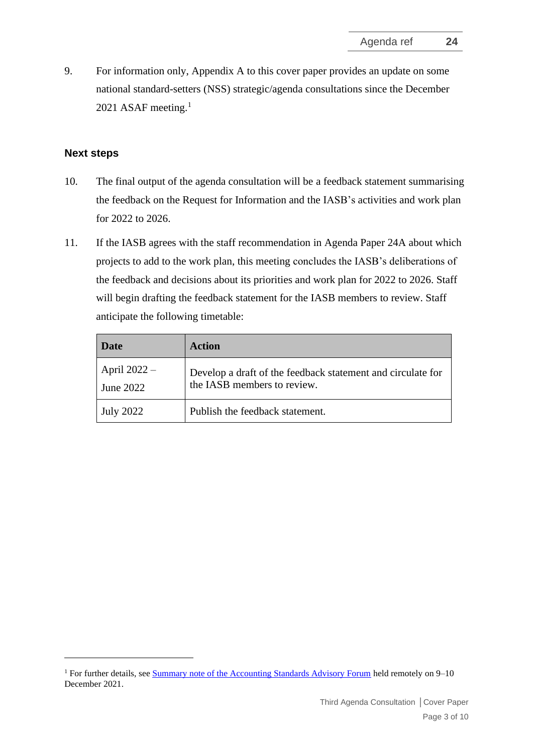9. For information only, Appendix A to this cover paper provides an update on some national standard-setters (NSS) strategic/agenda consultations since the December 2021 ASAF meeting. $1$ 

# **Next steps**

- 10. The final output of the agenda consultation will be a feedback statement summarising the feedback on the Request for Information and the IASB's activities and work plan for 2022 to 2026.
- 11. If the IASB agrees with the staff recommendation in Agenda Paper 24A about which projects to add to the work plan, this meeting concludes the IASB's deliberations of the feedback and decisions about its priorities and work plan for 2022 to 2026. Staff will begin drafting the feedback statement for the IASB members to review. Staff anticipate the following timetable:

| <b>Date</b>                 | Action                                                                                     |
|-----------------------------|--------------------------------------------------------------------------------------------|
| April $2022 -$<br>June 2022 | Develop a draft of the feedback statement and circulate for<br>the IASB members to review. |
| July 2022                   | Publish the feedback statement.                                                            |

<sup>&</sup>lt;sup>1</sup> For further details, see [Summary note of the Accounting Standards Advisory Forum](https://www.ifrs.org/content/dam/ifrs/meetings/2021/december/asaf/asaf-summary-note-dec-2021.pdf) held remotely on 9–10 December 2021.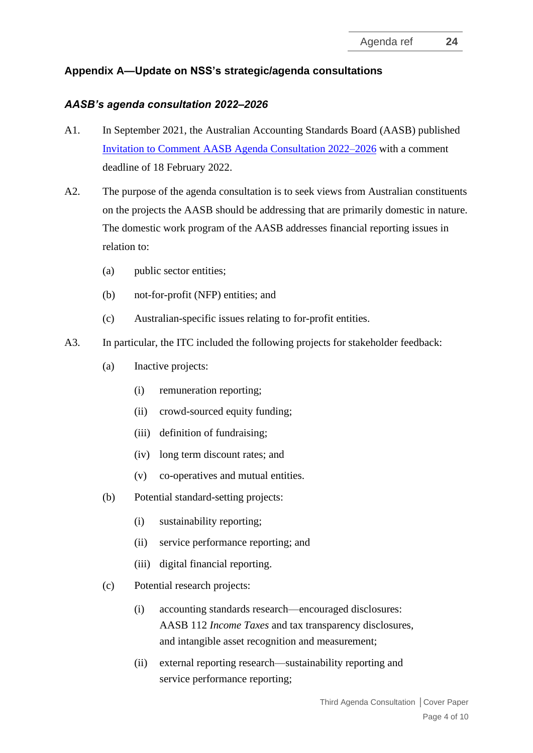# **Appendix A—Update on NSS's strategic/agenda consultations**

### *AASB's agenda consultation 2022–2026*

- A1. In September 2021, the Australian Accounting Standards Board (AASB) published Invitation to [Comment AASB Agenda Consultation 2022–2026](https://www.aasb.gov.au/admin/file/content105/c9/ITC46_10-21.pdf) with a comment deadline of 18 February 2022.
- A2. The purpose of the agenda consultation is to seek views from Australian constituents on the projects the AASB should be addressing that are primarily domestic in nature. The domestic work program of the AASB addresses financial reporting issues in relation to:
	- (a) public sector entities;
	- (b) not-for-profit (NFP) entities; and
	- (c) Australian-specific issues relating to for-profit entities.
- A3. In particular, the ITC included the following projects for stakeholder feedback:
	- (a) Inactive projects:
		- (i) remuneration reporting;
		- (ii) crowd-sourced equity funding;
		- (iii) definition of fundraising;
		- (iv) long term discount rates; and
		- (v) co-operatives and mutual entities.
	- (b) Potential standard-setting projects:
		- (i) sustainability reporting;
		- (ii) service performance reporting; and
		- (iii) digital financial reporting.
	- (c) Potential research projects:
		- (i) accounting standards research—encouraged disclosures: AASB 112 *Income Taxes* and tax transparency disclosures, and intangible asset recognition and measurement;
		- (ii) external reporting research—sustainability reporting and service performance reporting;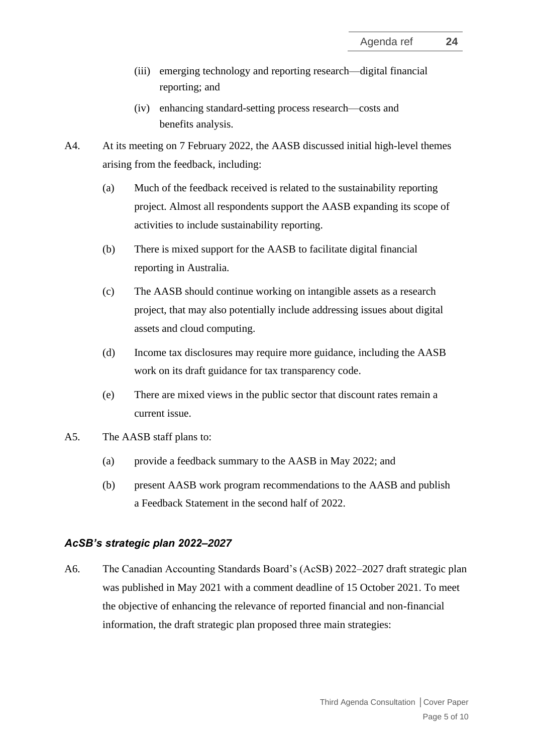- (iii) emerging technology and reporting research—digital financial reporting; and
- (iv) enhancing standard-setting process research—costs and benefits analysis.
- A4. At its meeting on 7 February 2022, the AASB discussed initial high-level themes arising from the feedback, including:
	- (a) Much of the feedback received is related to the sustainability reporting project. Almost all respondents support the AASB expanding its scope of activities to include sustainability reporting.
	- (b) There is mixed support for the AASB to facilitate digital financial reporting in Australia.
	- (c) The AASB should continue working on intangible assets as a research project, that may also potentially include addressing issues about digital assets and cloud computing.
	- (d) Income tax disclosures may require more guidance, including the AASB work on its draft guidance for tax transparency code.
	- (e) There are mixed views in the public sector that discount rates remain a current issue.
- A5. The AASB staff plans to:
	- (a) provide a feedback summary to the AASB in May 2022; and
	- (b) present AASB work program recommendations to the AASB and publish a Feedback Statement in the second half of 2022.

### *AcSB's strategic plan 2022–2027*

A6. The Canadian Accounting Standards Board's (AcSB) 2022–2027 draft strategic plan was published in May 2021 with a comment deadline of 15 October 2021. To meet the objective of enhancing the relevance of reported financial and non-financial information, the draft strategic plan proposed three main strategies: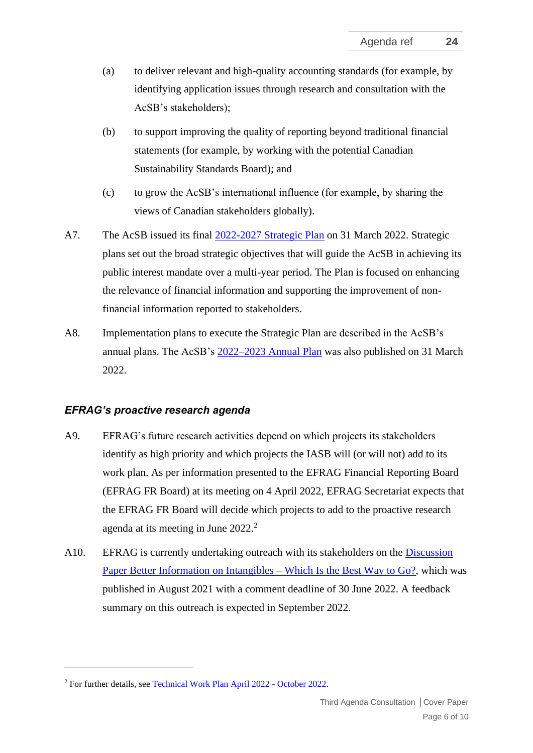- (a) to deliver relevant and high-quality accounting standards (for example, by identifying application issues through research and consultation with the AcSB's stakeholders);
- (b) to support improving the quality of reporting beyond traditional financial statements (for example, by working with the potential Canadian Sustainability Standards Board); and
- (c) to grow the AcSB's international influence (for example, by sharing the views of Canadian stakeholders globally).
- A7. The AcSB issued its final [2022-2027 Strategic Plan](https://www.frascanada.ca/en/acsb/about/strategic-plan) on 31 March 2022. Strategic plans set out the broad strategic objectives that will guide the AcSB in achieving its public interest mandate over a multi-year period. The Plan is focused on enhancing the relevance of financial information and supporting the improvement of nonfinancial information reported to stakeholders.
- A8. Implementation plans to execute the Strategic Plan are described in the AcSB's annual plans. The AcSB's [2022–2023 Annual Plan](https://www.frascanada.ca/en/acsb/about/annual-plan) was also published on 31 March 2022.

# *EFRAG's proactive research agenda*

- A9. EFRAG's future research activities depend on which projects its stakeholders identify as high priority and which projects the IASB will (or will not) add to its work plan. As per information presented to the EFRAG Financial Reporting Board (EFRAG FR Board) at its meeting on 4 April 2022, EFRAG Secretariat expects that the EFRAG FR Board will decide which projects to add to the proactive research agenda at its meeting in June  $2022<sup>2</sup>$ .
- A10. EFRAG is currently undertaking outreach with its stakeholders on the [Discussion](https://www.efrag.org/Assets/Download?assetUrl=%2Fsites%2Fwebpublishing%2FSiteAssets%2FBetter%2520information%2520on%2520intangibles%2520-%2520which%2520is%2520the%2520best%2520way%2520to%2520go.pdf)  [Paper Better Information on Intangibles –](https://www.efrag.org/Assets/Download?assetUrl=%2Fsites%2Fwebpublishing%2FSiteAssets%2FBetter%2520information%2520on%2520intangibles%2520-%2520which%2520is%2520the%2520best%2520way%2520to%2520go.pdf) Which Is the Best Way to Go?, which was published in August 2021 with a comment deadline of 30 June 2022. A feedback summary on this outreach is expected in September 2022.

<sup>2</sup> For further details, see [Technical Work Plan April 2022 -](https://www.efrag.org/Assets/Download?assetUrl=%2Fsites%2Fwebpublishing%2FMeeting%20Documents%2F2107261334151633%2F08-01%20-%20Technichal%20Work%20Plan%20-%20Board%2022-04-04.pdf) October 2022.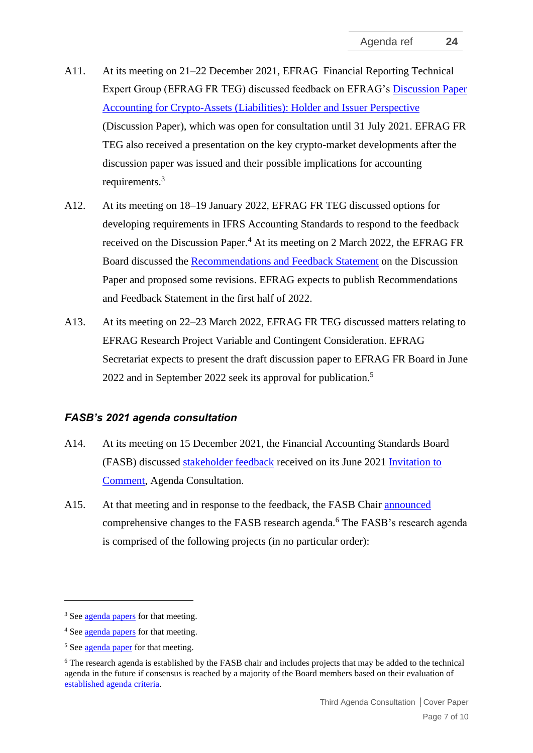- A11. At its meeting on 21–22 December 2021, EFRAG Financial Reporting Technical Expert Group (EFRAG FR TEG) discussed feedback on EFRAG's [Discussion Paper](https://www.efrag.org/Assets/Download?assetUrl=/sites/webpublishing/SiteAssets/EFRAG%20Discussion%20Paper-Accounting%20for%20Crypto-Assets%20%28Liabilities%29-%20July%202020.pdf#page=1)  [Accounting for Crypto-Assets \(Liabilities\): Holder and Issuer Perspective](https://www.efrag.org/Assets/Download?assetUrl=/sites/webpublishing/SiteAssets/EFRAG%20Discussion%20Paper-Accounting%20for%20Crypto-Assets%20%28Liabilities%29-%20July%202020.pdf#page=1) (Discussion Paper), which was open for consultation until 31 July 2021. EFRAG FR TEG also received a presentation on the key crypto-market developments after the discussion paper was issued and their possible implications for accounting requirements.<sup>3</sup>
- A12. At its meeting on 18–19 January 2022, EFRAG FR TEG discussed options for developing requirements in IFRS Accounting Standards to respond to the feedback received on the Discussion Paper.<sup>4</sup> At its meeting on 2 March 2022, the EFRAG FR Board discussed the [Recommendations and Feedback Statement](https://www.efrag.org/Assets/Download?assetUrl=%2Fsites%2Fwebpublishing%2FMeeting%20Documents%2F2107261328121760%2F05-02%20-%20Recommendations%20and%20Feedback%20Statement%20on%20EFRAG%27s%20DP%20Crypto-Assets%20%28Liabilities%29%20-%20EFRAG%20Board%2002-03-22.pdf) on the Discussion Paper and proposed some revisions. EFRAG expects to publish Recommendations and Feedback Statement in the first half of 2022.
- A13. At its meeting on 22–23 March 2022, EFRAG FR TEG discussed matters relating to EFRAG Research Project Variable and Contingent Consideration. EFRAG Secretariat expects to present the draft discussion paper to EFRAG FR Board in June 2022 and in September 2022 seek its approval for publication.<sup>5</sup>

# *FASB's 2021 agenda consultation*

- A14. At its meeting on 15 December 2021, the Financial Accounting Standards Board (FASB) discussed [stakeholder feedback](https://www.fasb.org/page/showpdf?path=BMHO20211215-2.pdf&title=December%2015,%202021%20FASB%20Board%20Meeting%20Handout) received on its June 2021 [Invitation to](https://www.fasb.org/Page/ShowPdf?path=ITC-Agenda_Consultation.pdf&title=INVITATION+TO+COMMENT%E2%80%94AGENDA+CONSULTATION&acceptedDisclaimer=true&Submit=)  [Comment,](https://www.fasb.org/Page/ShowPdf?path=ITC-Agenda_Consultation.pdf&title=INVITATION+TO+COMMENT%E2%80%94AGENDA+CONSULTATION&acceptedDisclaimer=true&Submit=) Agenda Consultation.
- A15. At that meeting and in response to the feedback, the FASB Chair [announced](https://www.fasb.org/page/getarticle?uid=fasb_MediaAdvisory12-15-21Body_0228221200) comprehensive changes to the FASB research agenda.<sup>6</sup> The FASB's research agenda is comprised of the following projects (in no particular order):

<sup>&</sup>lt;sup>3</sup> Se[e agenda papers](https://www.efrag.org/Meetings/2006231257410050/EFRAG-TEG-meeting-December-2021) for that meeting.

<sup>4</sup> Se[e agenda papers](https://www.efrag.org/Meetings/2107270955101567/EFRAG-TEG-meeting-January-2022) for that meeting.

<sup>&</sup>lt;sup>5</sup> Se[e agenda paper](https://www.efrag.org/Meetings/2107270958304630/EFRAG-FR-TEG-meeting-March-2022) for that meeting.

<sup>6</sup> The research agenda is established by the FASB chair and includes projects that may be added to the technical agenda in the future if consensus is reached by a majority of the Board members based on their evaluation of [established agenda criteria.](https://www.fasb.org/page/PageContent?pageId=/reference-library/agenda-requests.html)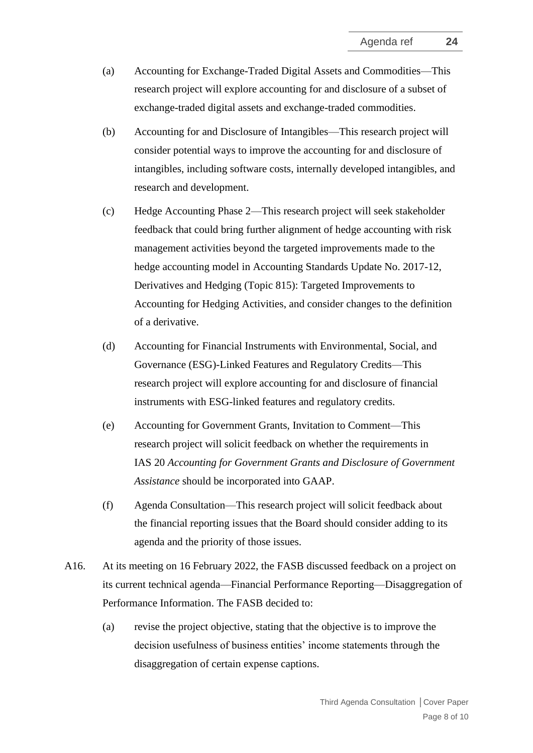- (a) Accounting for Exchange-Traded Digital Assets and Commodities—This research project will explore accounting for and disclosure of a subset of exchange-traded digital assets and exchange-traded commodities.
- (b) Accounting for and Disclosure of Intangibles—This research project will consider potential ways to improve the accounting for and disclosure of intangibles, including software costs, internally developed intangibles, and research and development.
- (c) Hedge Accounting Phase 2—This research project will seek stakeholder feedback that could bring further alignment of hedge accounting with risk management activities beyond the targeted improvements made to the hedge accounting model in Accounting Standards Update No. 2017-12, Derivatives and Hedging (Topic 815): Targeted Improvements to Accounting for Hedging Activities, and consider changes to the definition of a derivative.
- (d) Accounting for Financial Instruments with Environmental, Social, and Governance (ESG)-Linked Features and Regulatory Credits—This research project will explore accounting for and disclosure of financial instruments with ESG-linked features and regulatory credits.
- (e) Accounting for Government Grants, Invitation to Comment—This research project will solicit feedback on whether the requirements in IAS 20 *Accounting for Government Grants and Disclosure of Government Assistance* should be incorporated into GAAP.
- (f) Agenda Consultation—This research project will solicit feedback about the financial reporting issues that the Board should consider adding to its agenda and the priority of those issues.
- A16. At its meeting on 16 February 2022, the FASB discussed feedback on a project on its current technical agenda—Financial Performance Reporting—Disaggregation of Performance Information. The FASB decided to:
	- (a) revise the project objective, stating that the objective is to improve the decision usefulness of business entities' income statements through the disaggregation of certain expense captions.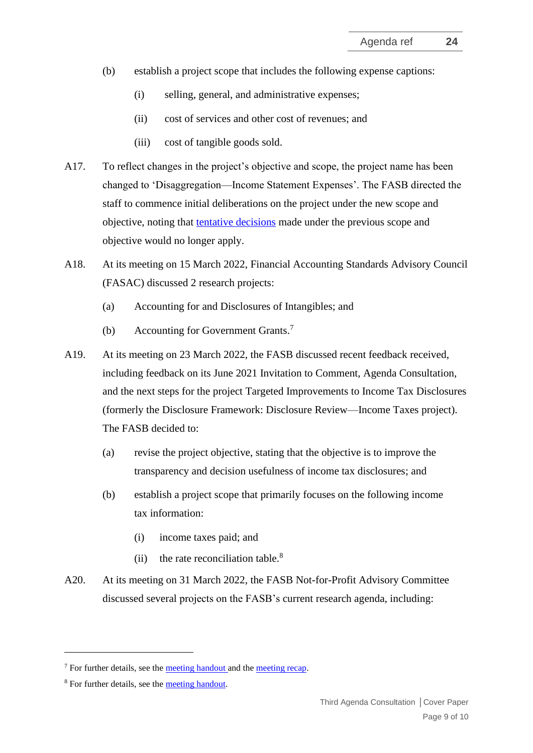- (b) establish a project scope that includes the following expense captions:
	- (i) selling, general, and administrative expenses;
	- (ii) cost of services and other cost of revenues; and
	- (iii) cost of tangible goods sold.
- A17. To reflect changes in the project's objective and scope, the project name has been changed to 'Disaggregation—Income Statement Expenses'. The FASB directed the staff to commence initial deliberations on the project under the new scope and objective, noting that [tentative decisions](https://www.fasb.org/page/showpdf?path=Tentative_Board_Decisions_Prior_to_February_16.pdf&title=Disaggregation%E2%80%94Income%20Statement%20Expenses:%20Tentative%20Board%20Decisions) made under the previous scope and objective would no longer apply.
- A18. At its meeting on 15 March 2022, Financial Accounting Standards Advisory Council (FASAC) discussed 2 research projects:
	- (a) Accounting for and Disclosures of Intangibles; and
	- (b) Accounting for Government Grants. 7
- A19. At its meeting on 23 March 2022, the FASB discussed recent feedback received, including feedback on its June 2021 Invitation to Comment, Agenda Consultation, and the next steps for the project Targeted Improvements to Income Tax Disclosures (formerly the Disclosure Framework: Disclosure Review—Income Taxes project). The FASB decided to:
	- (a) revise the project objective, stating that the objective is to improve the transparency and decision usefulness of income tax disclosures; and
	- (b) establish a project scope that primarily focuses on the following income tax information:
		- (i) income taxes paid; and
		- (ii) the rate reconciliation table. $8<sup>8</sup>$
- A20. At its meeting on 31 March 2022, the FASB Not-for-Profit Advisory Committee discussed several projects on the FASB's current research agenda, including:

 $<sup>7</sup>$  For further details, see the [meeting handout a](https://www.fasb.org/page/ShowPdf?path=FASAC-Public%20Materials-20220315.pdf&title=FASAC-Public%20Materials-20220315)nd the [meeting recap.](https://www.fasb.org/Page/PageContent?PageId=/about-us/advisory-groups/fasac/fasac-meeting-recap/fasac-meeting-recap-march-15-2022.html)</sup>

<sup>8</sup> For further details, see the [meeting handout.](https://www.fasb.org/page/showpdf?path=BMHO20220323.pdf&title=March%2023,%202022%20FASB%20Board%20Meeting%20Handout#page=11)